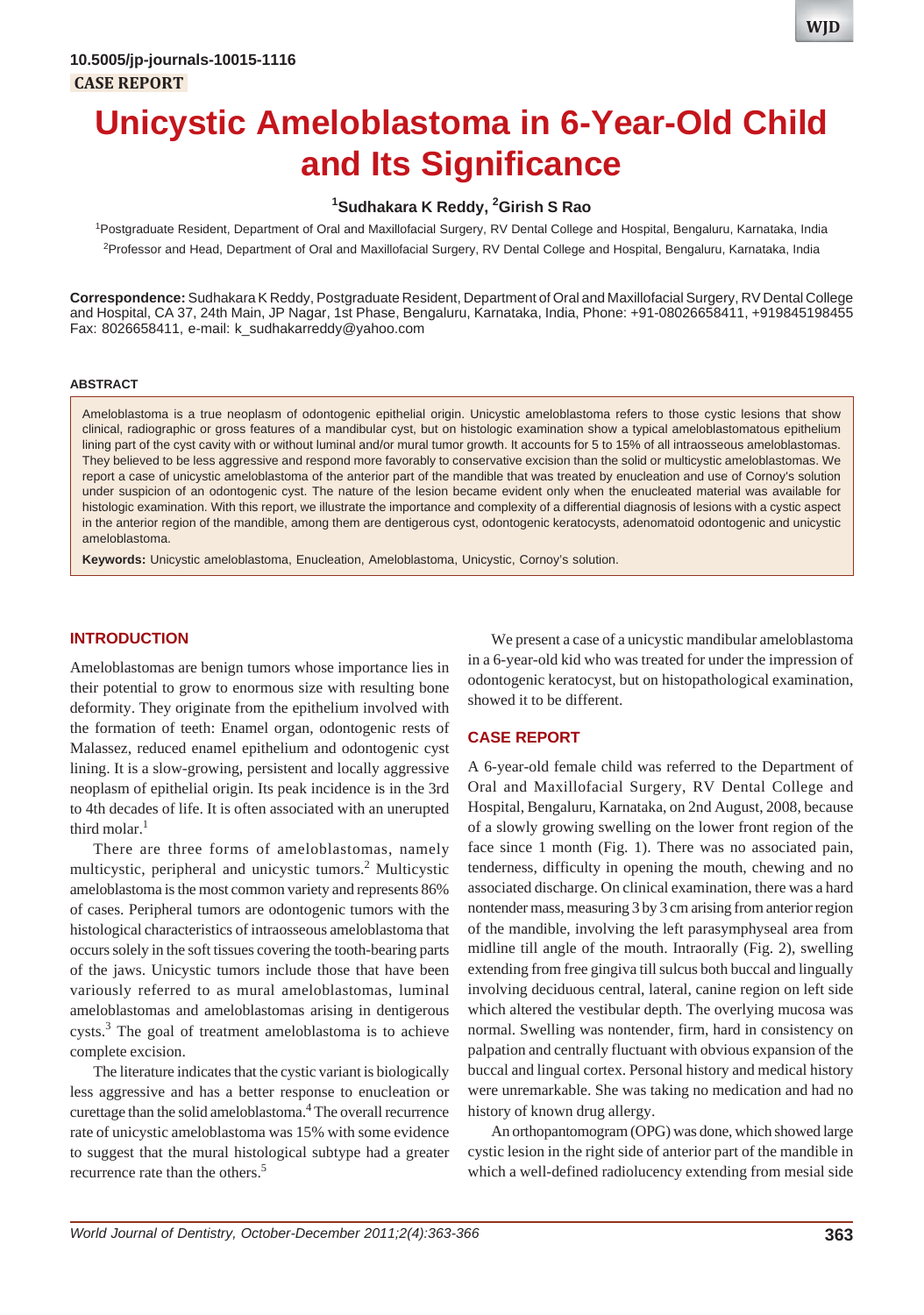# **Unicystic Ameloblastoma in 6-Year-Old Child and Its Significance**

# **1 Sudhakara K Reddy, 2 Girish S Rao**

1 Postgraduate Resident, Department of Oral and Maxillofacial Surgery, RV Dental College and Hospital, Bengaluru, Karnataka, India 2 Professor and Head, Department of Oral and Maxillofacial Surgery, RV Dental College and Hospital, Bengaluru, Karnataka, India

**Correspondence:** Sudhakara K Reddy, Postgraduate Resident, Department of Oral and Maxillofacial Surgery, RV Dental College and Hospital, CA 37, 24th Main, JP Nagar, 1st Phase, Bengaluru, Karnataka, India, Phone: +91-08026658411, +919845198455 Fax: 8026658411, e-mail: k\_sudhakarreddy@yahoo.com

#### **ABSTRACT**

Ameloblastoma is a true neoplasm of odontogenic epithelial origin. Unicystic ameloblastoma refers to those cystic lesions that show clinical, radiographic or gross features of a mandibular cyst, but on histologic examination show a typical ameloblastomatous epithelium lining part of the cyst cavity with or without luminal and/or mural tumor growth. It accounts for 5 to 15% of all intraosseous ameloblastomas. They believed to be less aggressive and respond more favorably to conservative excision than the solid or multicystic ameloblastomas. We report a case of unicystic ameloblastoma of the anterior part of the mandible that was treated by enucleation and use of Cornoy's solution under suspicion of an odontogenic cyst. The nature of the lesion became evident only when the enucleated material was available for histologic examination. With this report, we illustrate the importance and complexity of a differential diagnosis of lesions with a cystic aspect in the anterior region of the mandible, among them are dentigerous cyst, odontogenic keratocysts, adenomatoid odontogenic and unicystic ameloblastoma.

**Keywords:** Unicystic ameloblastoma, Enucleation, Ameloblastoma, Unicystic, Cornoy's solution.

#### **INTRODUCTION**

Ameloblastomas are benign tumors whose importance lies in their potential to grow to enormous size with resulting bone deformity. They originate from the epithelium involved with the formation of teeth: Enamel organ, odontogenic rests of Malassez, reduced enamel epithelium and odontogenic cyst lining. It is a slow-growing, persistent and locally aggressive neoplasm of epithelial origin. Its peak incidence is in the 3rd to 4th decades of life. It is often associated with an unerupted third molar. $<sup>1</sup>$ </sup>

There are three forms of ameloblastomas, namely multicystic, peripheral and unicystic tumors.<sup>2</sup> Multicystic ameloblastoma is the most common variety and represents 86% of cases. Peripheral tumors are odontogenic tumors with the histological characteristics of intraosseous ameloblastoma that occurs solely in the soft tissues covering the tooth-bearing parts of the jaws. Unicystic tumors include those that have been variously referred to as mural ameloblastomas, luminal ameloblastomas and ameloblastomas arising in dentigerous cysts.<sup>3</sup> The goal of treatment ameloblastoma is to achieve complete excision.

The literature indicates that the cystic variant is biologically less aggressive and has a better response to enucleation or curettage than the solid ameloblastoma.4 The overall recurrence rate of unicystic ameloblastoma was 15% with some evidence to suggest that the mural histological subtype had a greater recurrence rate than the others.<sup>5</sup>

We present a case of a unicystic mandibular ameloblastoma in a 6-year-old kid who was treated for under the impression of odontogenic keratocyst, but on histopathological examination, showed it to be different.

# **CASE REPORT**

A 6-year-old female child was referred to the Department of Oral and Maxillofacial Surgery, RV Dental College and Hospital, Bengaluru, Karnataka, on 2nd August, 2008, because of a slowly growing swelling on the lower front region of the face since 1 month (Fig. 1). There was no associated pain, tenderness, difficulty in opening the mouth, chewing and no associated discharge. On clinical examination, there was a hard nontender mass, measuring 3 by 3 cm arising from anterior region of the mandible, involving the left parasymphyseal area from midline till angle of the mouth. Intraorally (Fig. 2), swelling extending from free gingiva till sulcus both buccal and lingually involving deciduous central, lateral, canine region on left side which altered the vestibular depth. The overlying mucosa was normal. Swelling was nontender, firm, hard in consistency on palpation and centrally fluctuant with obvious expansion of the buccal and lingual cortex. Personal history and medical history were unremarkable. She was taking no medication and had no history of known drug allergy.

An orthopantomogram (OPG) was done, which showed large cystic lesion in the right side of anterior part of the mandible in which a well-defined radiolucency extending from mesial side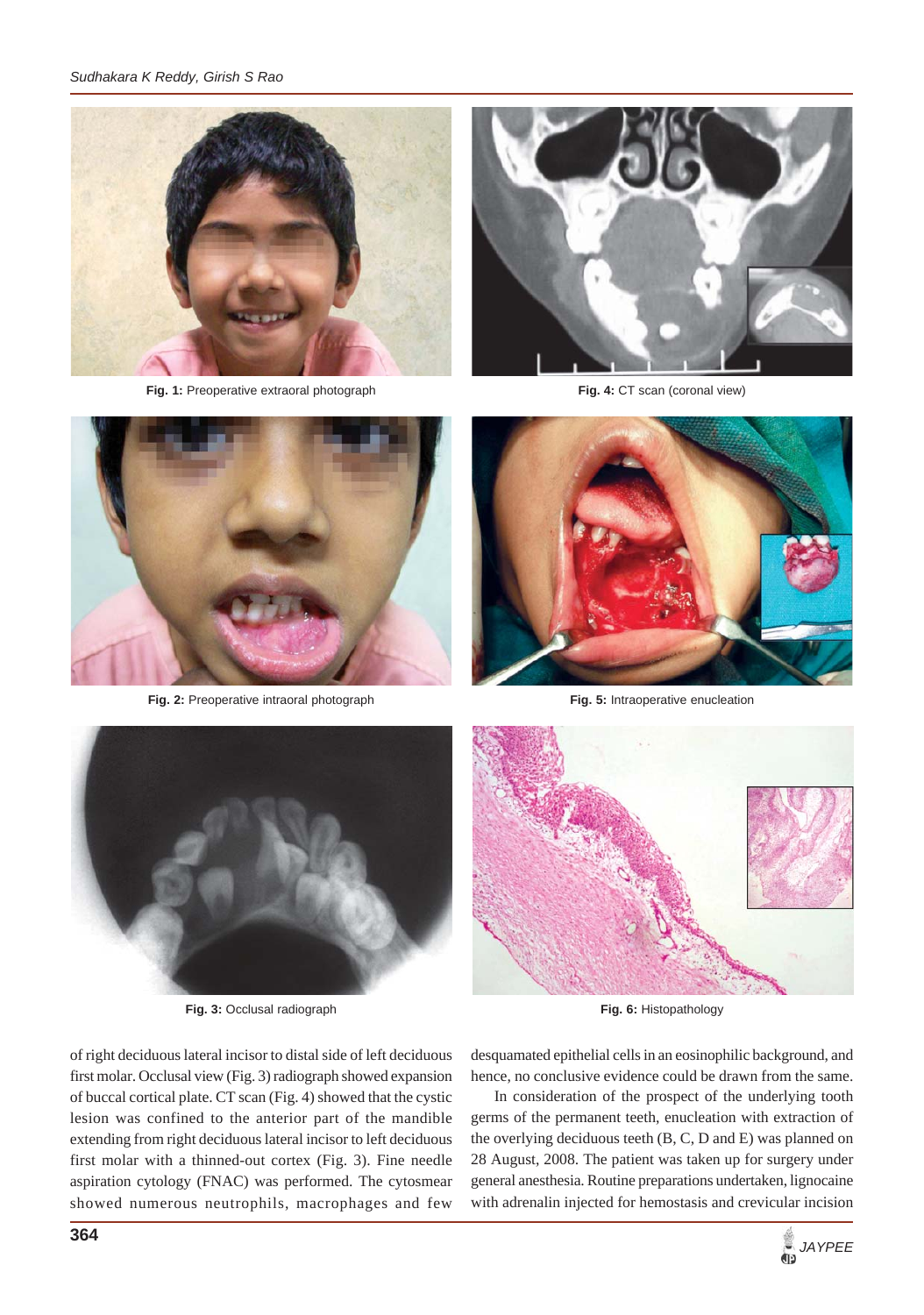

Fig. 1: Preoperative extraoral photograph



**Fig. 4:** CT scan (coronal view)



**Fig. 2:** Preoperative intraoral photograph



**Fig. 5:** Intraoperative enucleation



**Fig. 3:** Occlusal radiograph



**Fig. 6:** Histopathology

of right deciduous lateral incisor to distal side of left deciduous first molar. Occlusal view (Fig. 3) radiograph showed expansion of buccal cortical plate. CT scan (Fig. 4) showed that the cystic lesion was confined to the anterior part of the mandible extending from right deciduous lateral incisor to left deciduous first molar with a thinned-out cortex (Fig. 3). Fine needle aspiration cytology (FNAC) was performed. The cytosmear showed numerous neutrophils, macrophages and few

desquamated epithelial cells in an eosinophilic background, and hence, no conclusive evidence could be drawn from the same.

In consideration of the prospect of the underlying tooth germs of the permanent teeth, enucleation with extraction of the overlying deciduous teeth (B, C, D and E) was planned on 28 August, 2008. The patient was taken up for surgery under general anesthesia. Routine preparations undertaken, lignocaine with adrenalin injected for hemostasis and crevicular incision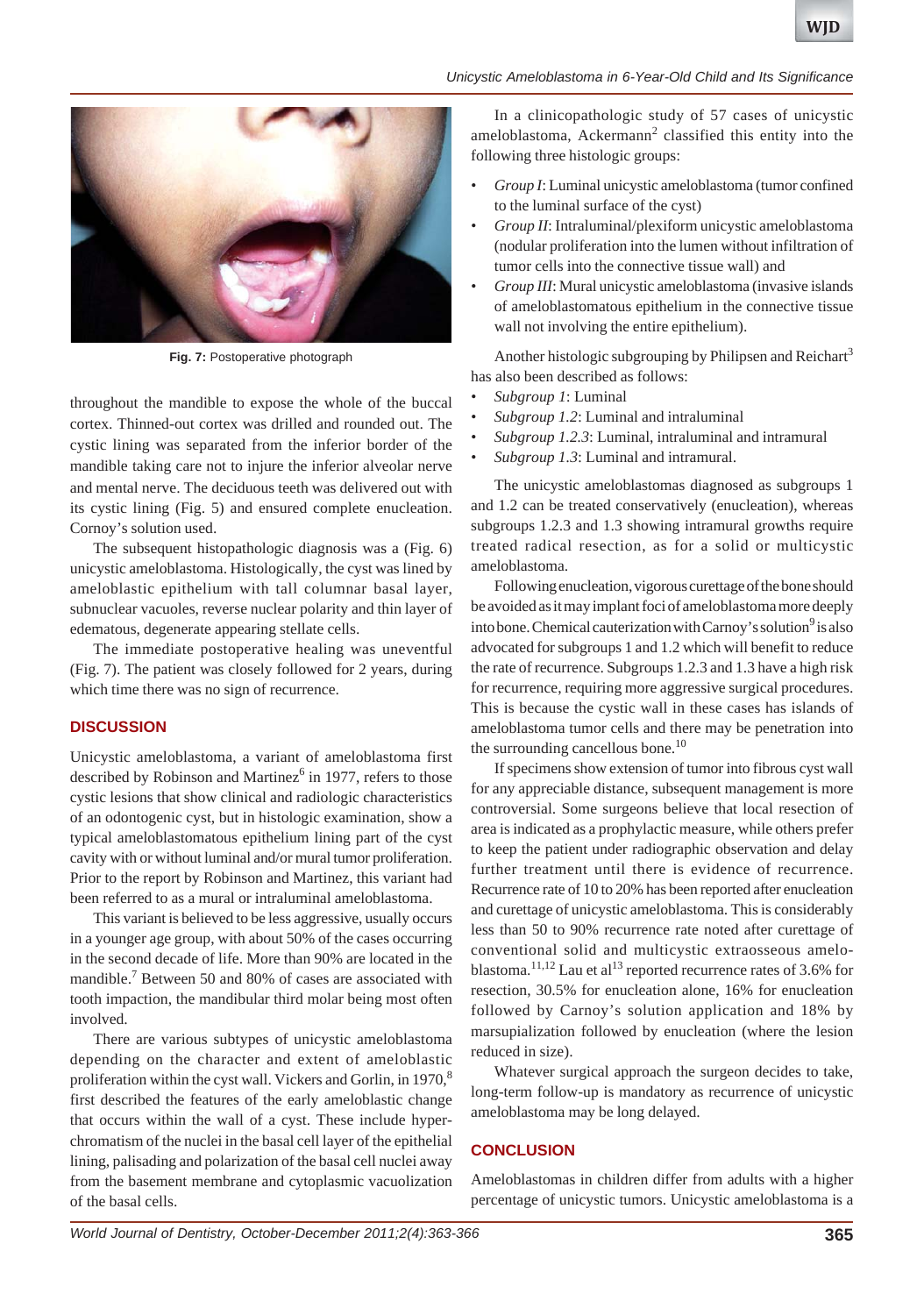#### *Unicystic Ameloblastoma in 6-Year-Old Child and Its Significance*



**Fig. 7:** Postoperative photograph

throughout the mandible to expose the whole of the buccal cortex. Thinned-out cortex was drilled and rounded out. The cystic lining was separated from the inferior border of the mandible taking care not to injure the inferior alveolar nerve and mental nerve. The deciduous teeth was delivered out with its cystic lining (Fig. 5) and ensured complete enucleation. Cornoy's solution used.

The subsequent histopathologic diagnosis was a (Fig. 6) unicystic ameloblastoma. Histologically, the cyst was lined by ameloblastic epithelium with tall columnar basal layer, subnuclear vacuoles, reverse nuclear polarity and thin layer of edematous, degenerate appearing stellate cells.

The immediate postoperative healing was uneventful (Fig. 7). The patient was closely followed for 2 years, during which time there was no sign of recurrence.

#### **DISCUSSION**

Unicystic ameloblastoma, a variant of ameloblastoma first described by Robinson and Martinez $<sup>6</sup>$  in 1977, refers to those</sup> cystic lesions that show clinical and radiologic characteristics of an odontogenic cyst, but in histologic examination, show a typical ameloblastomatous epithelium lining part of the cyst cavity with or without luminal and/or mural tumor proliferation. Prior to the report by Robinson and Martinez, this variant had been referred to as a mural or intraluminal ameloblastoma.

This variant is believed to be less aggressive, usually occurs in a younger age group, with about 50% of the cases occurring in the second decade of life. More than 90% are located in the mandible.<sup>7</sup> Between 50 and 80% of cases are associated with tooth impaction, the mandibular third molar being most often involved.

There are various subtypes of unicystic ameloblastoma depending on the character and extent of ameloblastic proliferation within the cyst wall. Vickers and Gorlin, in 1970,<sup>8</sup> first described the features of the early ameloblastic change that occurs within the wall of a cyst. These include hyperchromatism of the nuclei in the basal cell layer of the epithelial lining, palisading and polarization of the basal cell nuclei away from the basement membrane and cytoplasmic vacuolization of the basal cells.

In a clinicopathologic study of 57 cases of unicystic ameloblastoma, Ackermann<sup>2</sup> classified this entity into the following three histologic groups:

- *Group I*: Luminal unicystic ameloblastoma (tumor confined to the luminal surface of the cyst)
- *Group II*: Intraluminal/plexiform unicystic ameloblastoma (nodular proliferation into the lumen without infiltration of tumor cells into the connective tissue wall) and
- *Group III*: Mural unicystic ameloblastoma (invasive islands of ameloblastomatous epithelium in the connective tissue wall not involving the entire epithelium).

Another histologic subgrouping by Philipsen and Reichart<sup>3</sup> has also been described as follows:

- *Subgroup 1*: Luminal
- *Subgroup 1.2*: Luminal and intraluminal
- *Subgroup 1.2.3*: Luminal, intraluminal and intramural
- *Subgroup 1.3*: Luminal and intramural.

The unicystic ameloblastomas diagnosed as subgroups 1 and 1.2 can be treated conservatively (enucleation), whereas subgroups 1.2.3 and 1.3 showing intramural growths require treated radical resection, as for a solid or multicystic ameloblastoma.

Following enucleation, vigorous curettage of the bone should be avoided as it may implant foci of ameloblastoma more deeply into bone. Chemical cauterization with Carnoy's solution<sup>9</sup> is also advocated for subgroups 1 and 1.2 which will benefit to reduce the rate of recurrence. Subgroups 1.2.3 and 1.3 have a high risk for recurrence, requiring more aggressive surgical procedures. This is because the cystic wall in these cases has islands of ameloblastoma tumor cells and there may be penetration into the surrounding cancellous bone.<sup>10</sup>

If specimens show extension of tumor into fibrous cyst wall for any appreciable distance, subsequent management is more controversial. Some surgeons believe that local resection of area is indicated as a prophylactic measure, while others prefer to keep the patient under radiographic observation and delay further treatment until there is evidence of recurrence. Recurrence rate of 10 to 20% has been reported after enucleation and curettage of unicystic ameloblastoma. This is considerably less than 50 to 90% recurrence rate noted after curettage of conventional solid and multicystic extraosseous ameloblastoma.<sup>11,12</sup> Lau et al<sup>13</sup> reported recurrence rates of 3.6% for resection, 30.5% for enucleation alone, 16% for enucleation followed by Carnoy's solution application and 18% by marsupialization followed by enucleation (where the lesion reduced in size).

Whatever surgical approach the surgeon decides to take, long-term follow-up is mandatory as recurrence of unicystic ameloblastoma may be long delayed.

# **CONCLUSION**

Ameloblastomas in children differ from adults with a higher percentage of unicystic tumors. Unicystic ameloblastoma is a